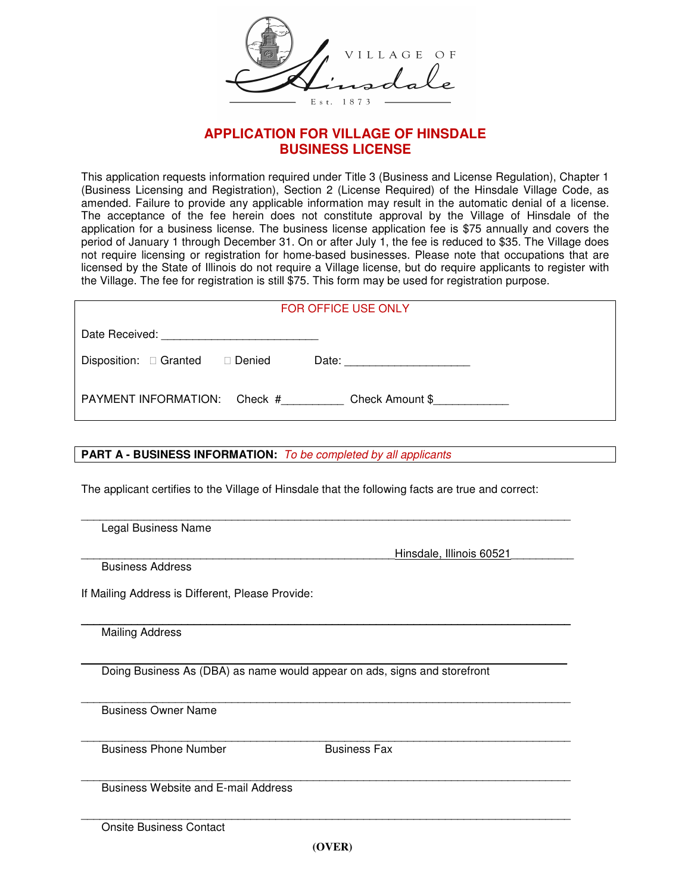

## **APPLICATION FOR VILLAGE OF HINSDALE BUSINESS LICENSE**

This application requests information required under Title 3 (Business and License Regulation), Chapter 1 (Business Licensing and Registration), Section 2 (License Required) of the Hinsdale Village Code, as amended. Failure to provide any applicable information may result in the automatic denial of a license. The acceptance of the fee herein does not constitute approval by the Village of Hinsdale of the application for a business license. The business license application fee is \$75 annually and covers the period of January 1 through December 31. On or after July 1, the fee is reduced to \$35. The Village does not require licensing or registration for home-based businesses. Please note that occupations that are licensed by the State of Illinois do not require a Village license, but do require applicants to register with the Village. The fee for registration is still \$75. This form may be used for registration purpose.

| FOR OFFICE USE ONLY                                         |         |         |  |                 |  |  |  |  |  |  |
|-------------------------------------------------------------|---------|---------|--|-----------------|--|--|--|--|--|--|
| Date Received:<br><u> 2001 - Jan Barnett, mars et al. (</u> |         |         |  |                 |  |  |  |  |  |  |
| Disposition:                                                | Granted | Denied  |  |                 |  |  |  |  |  |  |
| PAYMENT INFORMATION:                                        |         | Check # |  | Check Amount \$ |  |  |  |  |  |  |

## **PART A - BUSINESS INFORMATION:** To be completed by all applicants

The applicant certifies to the Village of Hinsdale that the following facts are true and correct:

| Legal Business Name                              |                                                                           |
|--------------------------------------------------|---------------------------------------------------------------------------|
|                                                  | Hinsdale, Illinois 60521                                                  |
| <b>Business Address</b>                          |                                                                           |
| If Mailing Address is Different, Please Provide: |                                                                           |
| <b>Mailing Address</b>                           |                                                                           |
|                                                  | Doing Business As (DBA) as name would appear on ads, signs and storefront |
| <b>Business Owner Name</b>                       |                                                                           |
| <b>Business Phone Number</b>                     | <b>Business Fax</b>                                                       |
| <b>Business Website and E-mail Address</b>       |                                                                           |
| <b>Onsite Business Contact</b>                   |                                                                           |